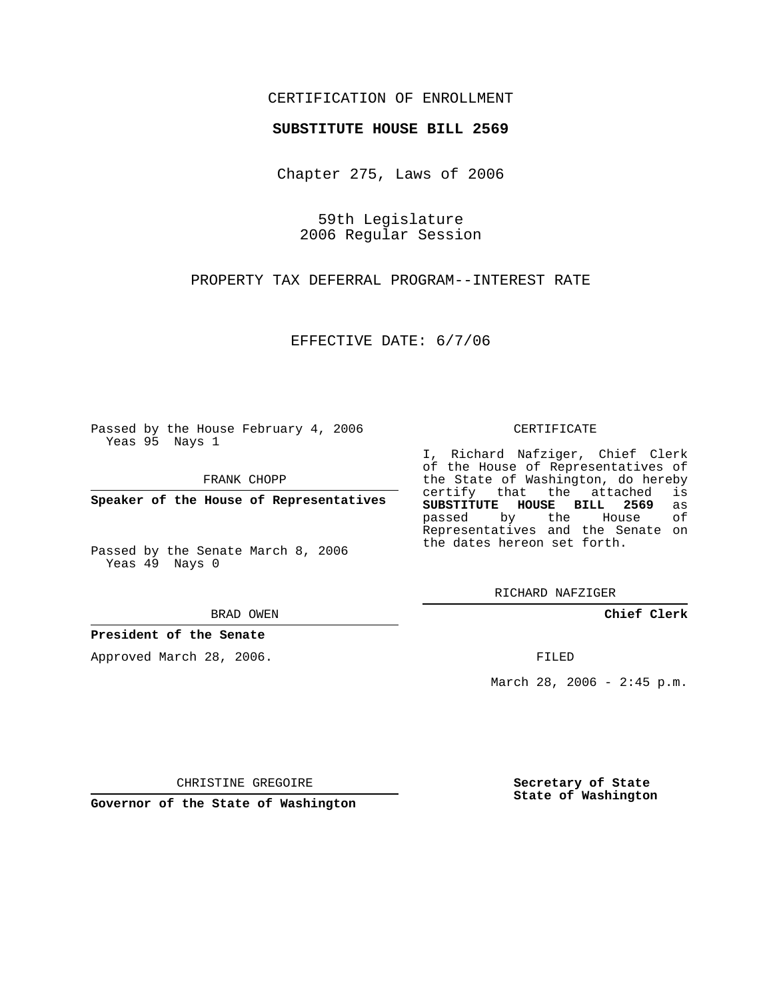# CERTIFICATION OF ENROLLMENT

### **SUBSTITUTE HOUSE BILL 2569**

Chapter 275, Laws of 2006

59th Legislature 2006 Regular Session

PROPERTY TAX DEFERRAL PROGRAM--INTEREST RATE

EFFECTIVE DATE: 6/7/06

Passed by the House February 4, 2006 Yeas 95 Nays 1

FRANK CHOPP

**Speaker of the House of Representatives**

Passed by the Senate March 8, 2006 Yeas 49 Nays 0

#### BRAD OWEN

### **President of the Senate**

Approved March 28, 2006.

### CERTIFICATE

I, Richard Nafziger, Chief Clerk of the House of Representatives of the State of Washington, do hereby<br>certify that the attached is certify that the attached **SUBSTITUTE HOUSE BILL 2569** as passed by the Representatives and the Senate on the dates hereon set forth.

RICHARD NAFZIGER

**Chief Clerk**

FILED

March 28, 2006 -  $2:45$  p.m.

CHRISTINE GREGOIRE

**Governor of the State of Washington**

**Secretary of State State of Washington**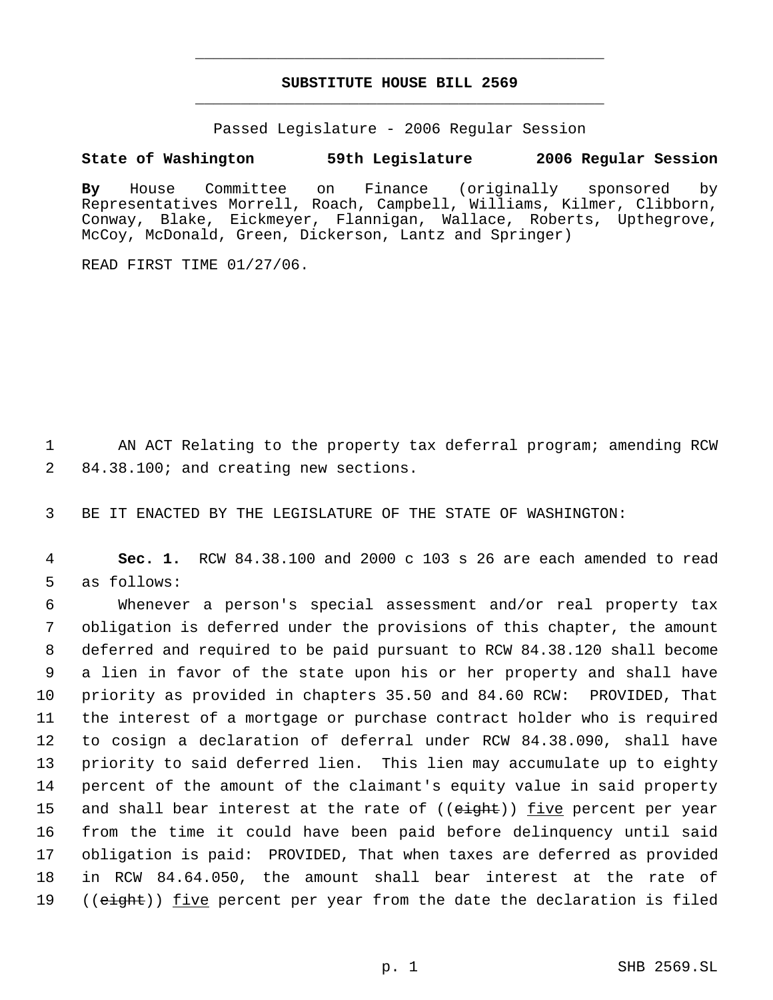# **SUBSTITUTE HOUSE BILL 2569** \_\_\_\_\_\_\_\_\_\_\_\_\_\_\_\_\_\_\_\_\_\_\_\_\_\_\_\_\_\_\_\_\_\_\_\_\_\_\_\_\_\_\_\_\_

\_\_\_\_\_\_\_\_\_\_\_\_\_\_\_\_\_\_\_\_\_\_\_\_\_\_\_\_\_\_\_\_\_\_\_\_\_\_\_\_\_\_\_\_\_

Passed Legislature - 2006 Regular Session

# **State of Washington 59th Legislature 2006 Regular Session**

**By** House Committee on Finance (originally sponsored by Representatives Morrell, Roach, Campbell, Williams, Kilmer, Clibborn, Conway, Blake, Eickmeyer, Flannigan, Wallace, Roberts, Upthegrove, McCoy, McDonald, Green, Dickerson, Lantz and Springer)

READ FIRST TIME 01/27/06.

 1 AN ACT Relating to the property tax deferral program; amending RCW 2 84.38.100; and creating new sections.

3 BE IT ENACTED BY THE LEGISLATURE OF THE STATE OF WASHINGTON:

 4 **Sec. 1.** RCW 84.38.100 and 2000 c 103 s 26 are each amended to read 5 as follows:

 Whenever a person's special assessment and/or real property tax obligation is deferred under the provisions of this chapter, the amount deferred and required to be paid pursuant to RCW 84.38.120 shall become a lien in favor of the state upon his or her property and shall have priority as provided in chapters 35.50 and 84.60 RCW: PROVIDED, That the interest of a mortgage or purchase contract holder who is required to cosign a declaration of deferral under RCW 84.38.090, shall have priority to said deferred lien. This lien may accumulate up to eighty percent of the amount of the claimant's equity value in said property 15 and shall bear interest at the rate of ((<del>cight</del>)) <u>five</u> percent per year from the time it could have been paid before delinquency until said obligation is paid: PROVIDED, That when taxes are deferred as provided in RCW 84.64.050, the amount shall bear interest at the rate of 19 ((<del>eight</del>)) <u>five</u> percent per year from the date the declaration is filed